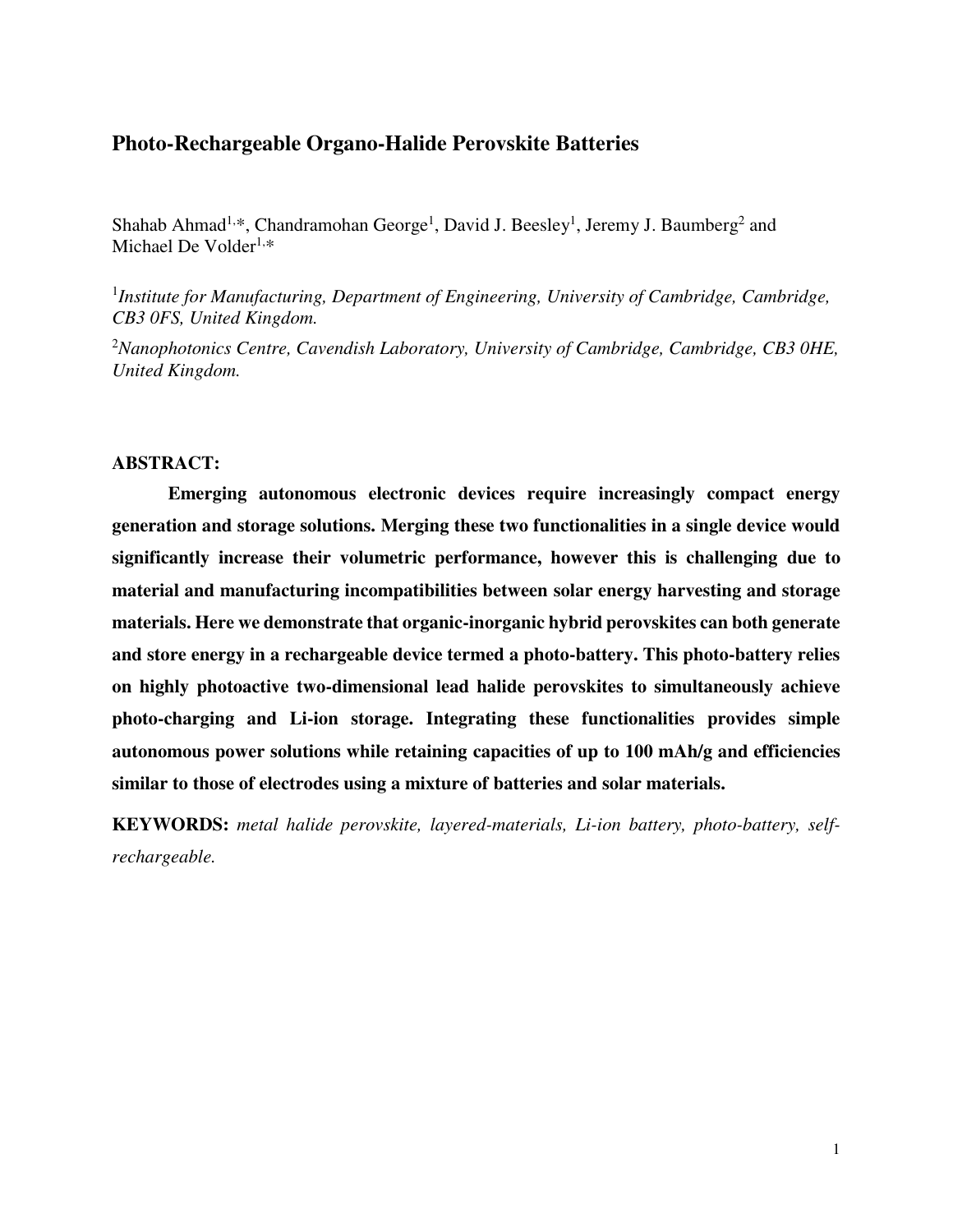# **Photo-Rechargeable Organo-Halide Perovskite Batteries**

Shahab Ahmad<sup>1,\*</sup>, Chandramohan George<sup>1</sup>, David J. Beesley<sup>1</sup>, Jeremy J. Baumberg<sup>2</sup> and Michael De Volder $1.*$ 

<sup>1</sup>Institute for Manufacturing, Department of Engineering, University of Cambridge, Cambridge, *CB3 0FS, United Kingdom.*

<sup>2</sup>*Nanophotonics Centre, Cavendish Laboratory, University of Cambridge, Cambridge, CB3 0HE, United Kingdom.*

#### **ABSTRACT:**

**Emerging autonomous electronic devices require increasingly compact energy generation and storage solutions. Merging these two functionalities in a single device would significantly increase their volumetric performance, however this is challenging due to material and manufacturing incompatibilities between solar energy harvesting and storage materials. Here we demonstrate that organic-inorganic hybrid perovskites can both generate and store energy in a rechargeable device termed a photo-battery. This photo-battery relies on highly photoactive two-dimensional lead halide perovskites to simultaneously achieve photo-charging and Li-ion storage. Integrating these functionalities provides simple autonomous power solutions while retaining capacities of up to 100 mAh/g and efficiencies similar to those of electrodes using a mixture of batteries and solar materials.** 

**KEYWORDS:** *metal halide perovskite, layered-materials, Li-ion battery, photo-battery, selfrechargeable.*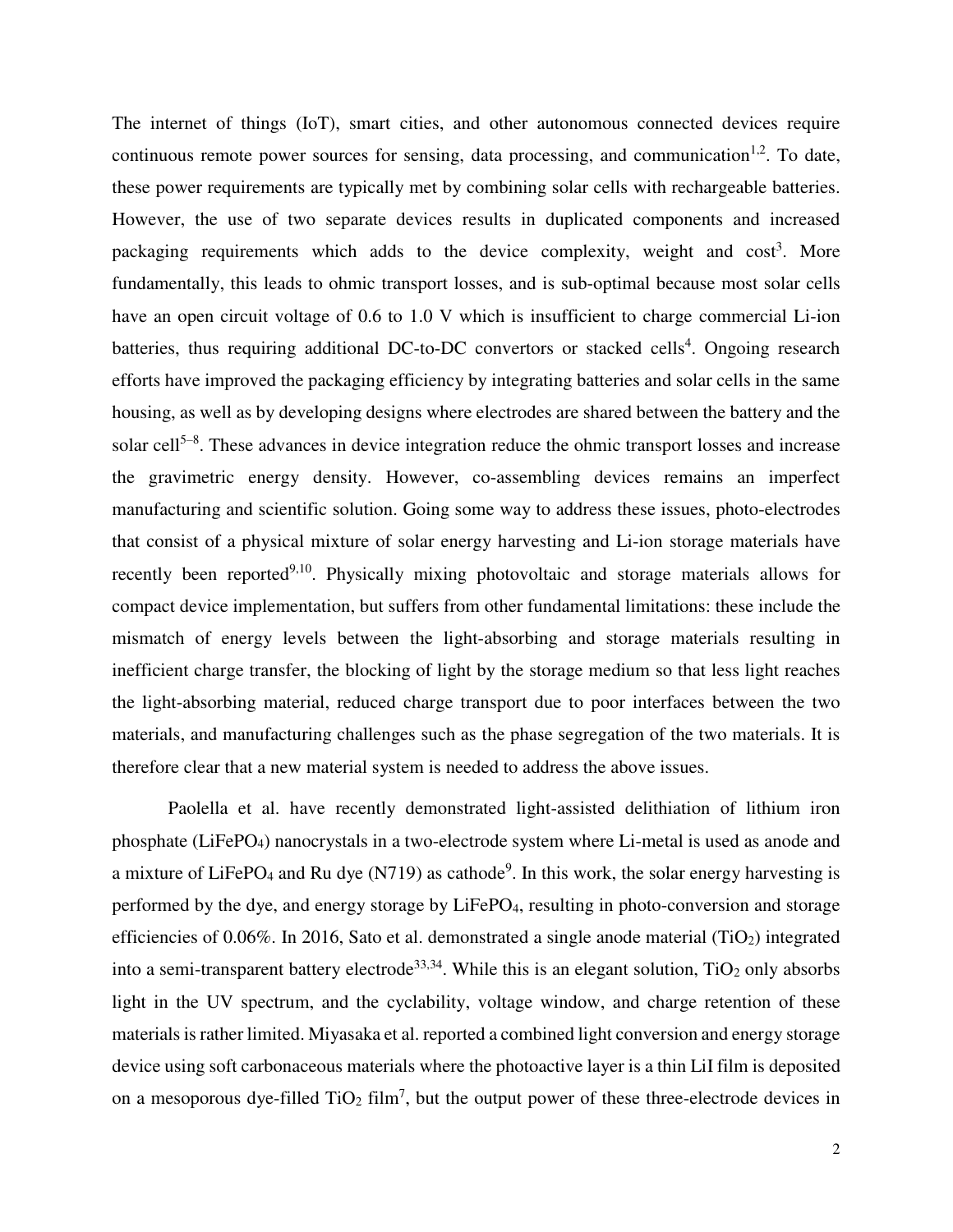The internet of things (IoT), smart cities, and other autonomous connected devices require continuous remote power sources for sensing, data processing, and communication<sup>1,2</sup>. To date, these power requirements are typically met by combining solar cells with rechargeable batteries. However, the use of two separate devices results in duplicated components and increased packaging requirements which adds to the device complexity, weight and cost<sup>3</sup>. More fundamentally, this leads to ohmic transport losses, and is sub-optimal because most solar cells have an open circuit voltage of 0.6 to 1.0 V which is insufficient to charge commercial Li-ion batteries, thus requiring additional DC-to-DC convertors or stacked cells<sup>4</sup>. Ongoing research efforts have improved the packaging efficiency by integrating batteries and solar cells in the same housing, as well as by developing designs where electrodes are shared between the battery and the solar cell<sup>5-8</sup>. These advances in device integration reduce the ohmic transport losses and increase the gravimetric energy density. However, co-assembling devices remains an imperfect manufacturing and scientific solution. Going some way to address these issues, photo-electrodes that consist of a physical mixture of solar energy harvesting and Li-ion storage materials have recently been reported<sup>9,10</sup>. Physically mixing photovoltaic and storage materials allows for compact device implementation, but suffers from other fundamental limitations: these include the mismatch of energy levels between the light-absorbing and storage materials resulting in inefficient charge transfer, the blocking of light by the storage medium so that less light reaches the light-absorbing material, reduced charge transport due to poor interfaces between the two materials, and manufacturing challenges such as the phase segregation of the two materials. It is therefore clear that a new material system is needed to address the above issues.

Paolella et al. have recently demonstrated light-assisted delithiation of lithium iron phosphate (LiFePO4) nanocrystals in a two-electrode system where Li-metal is used as anode and a mixture of LiFePO<sub>4</sub> and Ru dye (N719) as cathode<sup>9</sup>. In this work, the solar energy harvesting is performed by the dye, and energy storage by LiFePO4, resulting in photo-conversion and storage efficiencies of  $0.06\%$ . In 2016, Sato et al. demonstrated a single anode material (TiO<sub>2</sub>) integrated into a semi-transparent battery electrode<sup>33,34</sup>. While this is an elegant solution,  $TiO<sub>2</sub>$  only absorbs light in the UV spectrum, and the cyclability, voltage window, and charge retention of these materials is rather limited. Miyasaka et al. reported a combined light conversion and energy storage device using soft carbonaceous materials where the photoactive layer is a thin LiI film is deposited on a mesoporous dye-filled  $TiO<sub>2</sub> film<sup>7</sup>$ , but the output power of these three-electrode devices in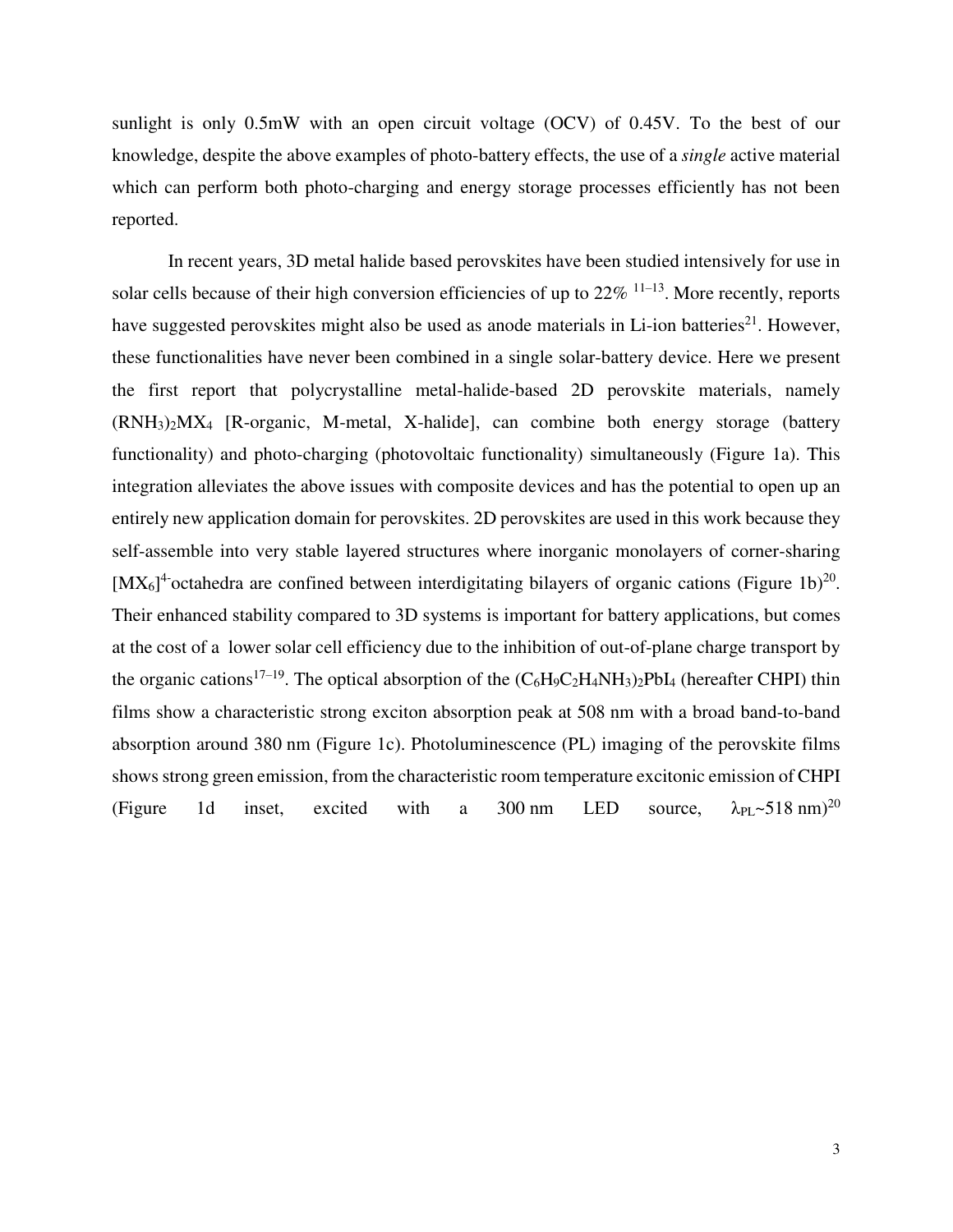sunlight is only 0.5mW with an open circuit voltage (OCV) of 0.45V. To the best of our knowledge, despite the above examples of photo-battery effects, the use of a *single* active material which can perform both photo-charging and energy storage processes efficiently has not been reported.

In recent years, 3D metal halide based perovskites have been studied intensively for use in solar cells because of their high conversion efficiencies of up to  $22\%$  <sup>11–13</sup>. More recently, reports have suggested perovskites might also be used as anode materials in Li-ion batteries<sup>21</sup>. However, these functionalities have never been combined in a single solar-battery device. Here we present the first report that polycrystalline metal-halide-based 2D perovskite materials, namely (RNH3)2MX<sup>4</sup> [R-organic, M-metal, X-halide], can combine both energy storage (battery functionality) and photo-charging (photovoltaic functionality) simultaneously (Figure 1a). This integration alleviates the above issues with composite devices and has the potential to open up an entirely new application domain for perovskites. 2D perovskites are used in this work because they self-assemble into very stable layered structures where inorganic monolayers of corner-sharing  $[MX<sub>6</sub>]<sup>4</sup>$  octahedra are confined between interdigitating bilayers of organic cations (Figure 1b)<sup>20</sup>. Their enhanced stability compared to 3D systems is important for battery applications, but comes at the cost of a lower solar cell efficiency due to the inhibition of out-of-plane charge transport by the organic cations<sup>17–19</sup>. The optical absorption of the  $(C_6H_9C_2H_4NH_3)_2PbI_4$  (hereafter CHPI) thin films show a characteristic strong exciton absorption peak at 508 nm with a broad band-to-band absorption around 380 nm (Figure 1c). Photoluminescence (PL) imaging of the perovskite films shows strong green emission, from the characteristic room temperature excitonic emission of CHPI (Figure 1d inset, excited with a 300 nm LED source,  $\lambda_{PL}$ ~518 nm)<sup>20</sup>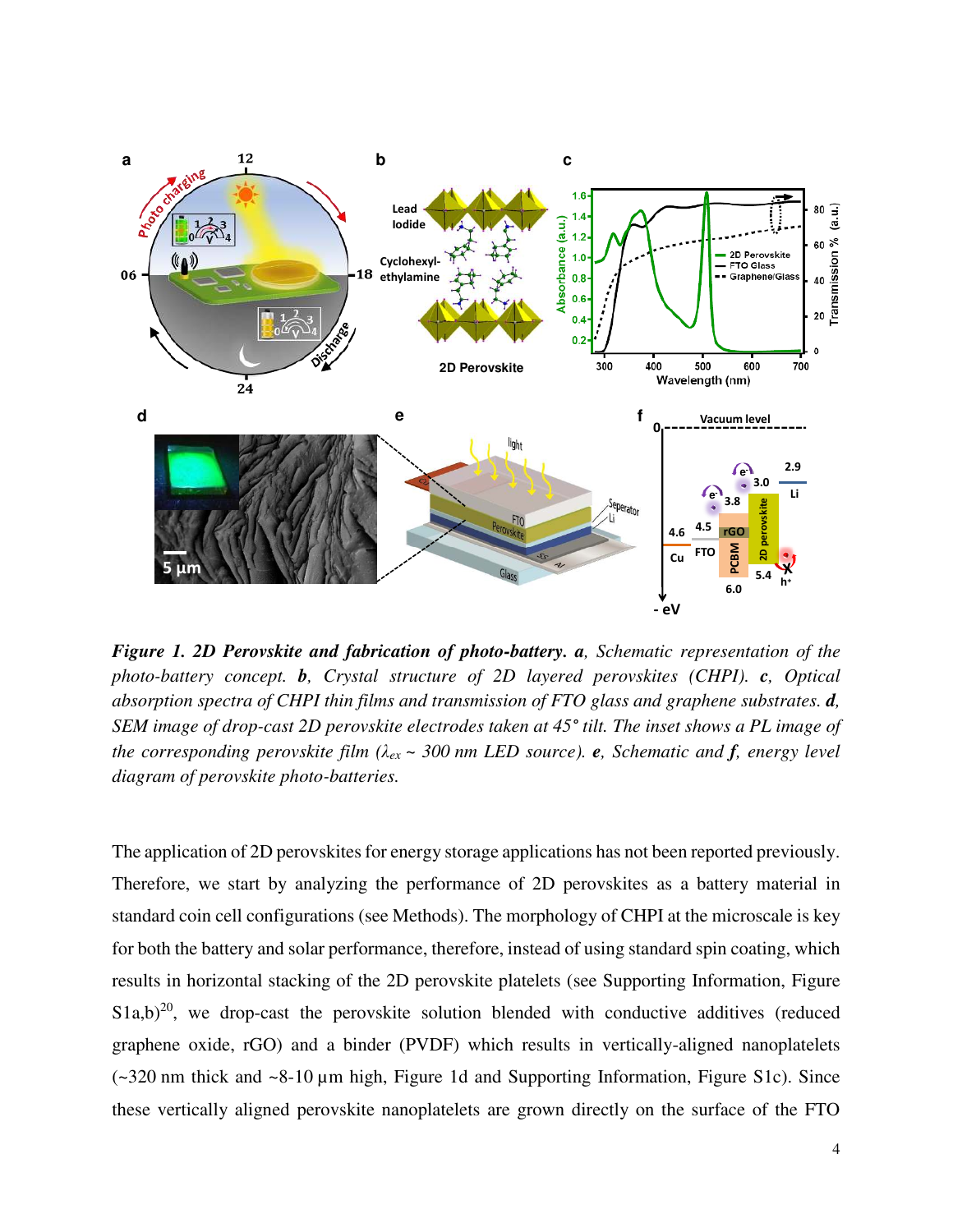

*Figure 1. 2D Perovskite and fabrication of photo-battery. a, Schematic representation of the photo-battery concept. b, Crystal structure of 2D layered perovskites (CHPI). c, Optical absorption spectra of CHPI thin films and transmission of FTO glass and graphene substrates. d, SEM image of drop-cast 2D perovskite electrodes taken at 45° tilt. The inset shows a PL image of the corresponding perovskite film (λex ~ 300 nm LED source). e, Schematic and f, energy level diagram of perovskite photo-batteries.* 

The application of 2D perovskites for energy storage applications has not been reported previously. Therefore, we start by analyzing the performance of 2D perovskites as a battery material in standard coin cell configurations (see Methods). The morphology of CHPI at the microscale is key for both the battery and solar performance, therefore, instead of using standard spin coating, which results in horizontal stacking of the 2D perovskite platelets (see Supporting Information, Figure  $S1a,b)^{20}$ , we drop-cast the perovskite solution blended with conductive additives (reduced graphene oxide, rGO) and a binder (PVDF) which results in vertically-aligned nanoplatelets (~320 nm thick and ~8-10 µm high, Figure 1d and Supporting Information, Figure S1c). Since these vertically aligned perovskite nanoplatelets are grown directly on the surface of the FTO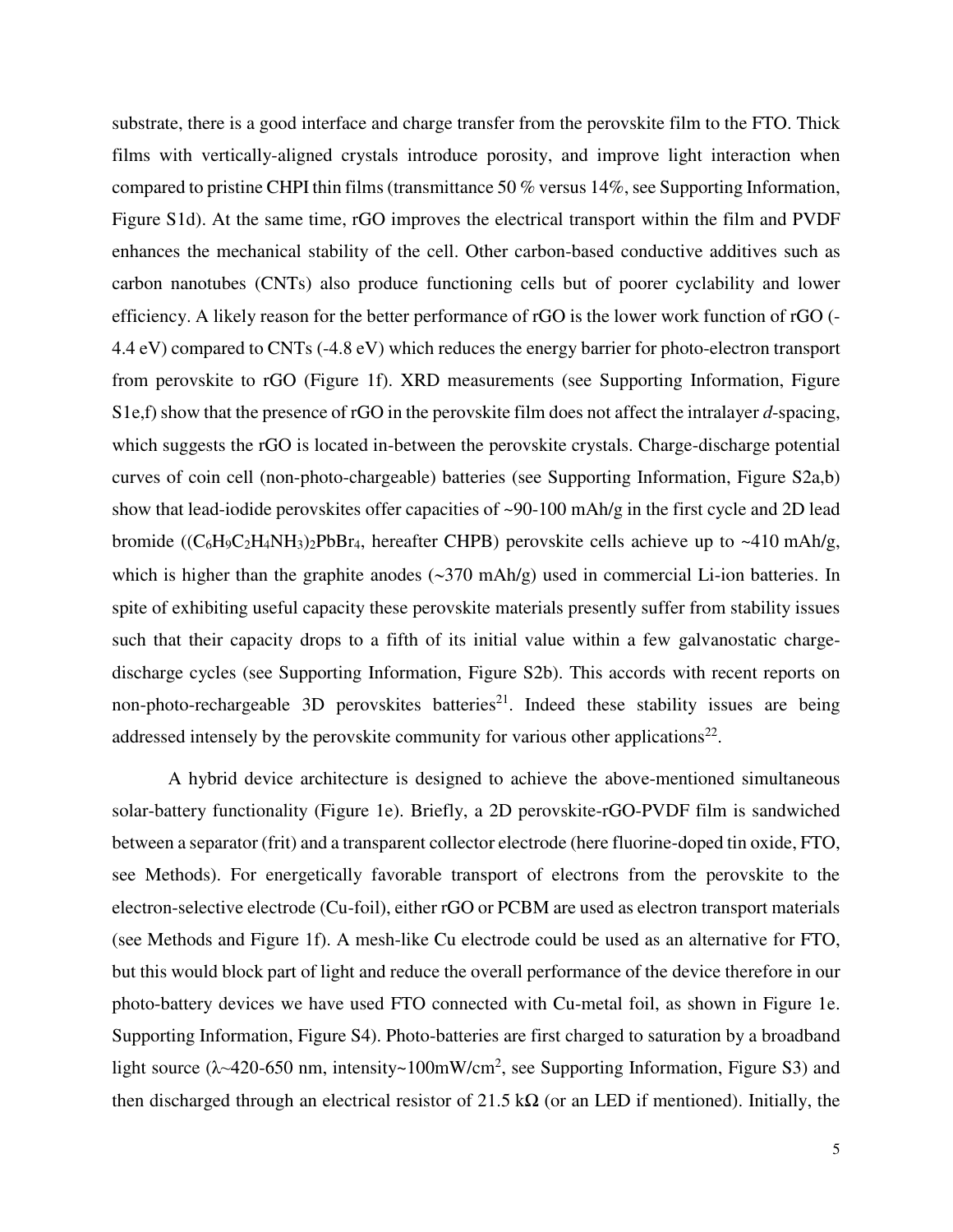substrate, there is a good interface and charge transfer from the perovskite film to the FTO. Thick films with vertically-aligned crystals introduce porosity, and improve light interaction when compared to pristine CHPI thin films (transmittance 50 % versus 14%, see Supporting Information, Figure S1d). At the same time, rGO improves the electrical transport within the film and PVDF enhances the mechanical stability of the cell. Other carbon-based conductive additives such as carbon nanotubes (CNTs) also produce functioning cells but of poorer cyclability and lower efficiency. A likely reason for the better performance of rGO is the lower work function of rGO (- 4.4 eV) compared to CNTs (-4.8 eV) which reduces the energy barrier for photo-electron transport from perovskite to rGO (Figure 1f). XRD measurements (see Supporting Information, Figure S1e,f) show that the presence of rGO in the perovskite film does not affect the intralayer *d*-spacing, which suggests the rGO is located in-between the perovskite crystals. Charge-discharge potential curves of coin cell (non-photo-chargeable) batteries (see Supporting Information, Figure S2a,b) show that lead-iodide perovskites offer capacities of ~90-100 mAh/g in the first cycle and 2D lead bromide  $((C_6H_9C_2H_4NH_3)_2PbBr_4$ , hereafter CHPB) perovskite cells achieve up to ~410 mAh/g, which is higher than the graphite anodes  $(\sim 370 \text{ mA}h/\text{g})$  used in commercial Li-ion batteries. In spite of exhibiting useful capacity these perovskite materials presently suffer from stability issues such that their capacity drops to a fifth of its initial value within a few galvanostatic chargedischarge cycles (see Supporting Information, Figure S2b). This accords with recent reports on non-photo-rechargeable 3D perovskites batteries<sup>21</sup>. Indeed these stability issues are being addressed intensely by the perovskite community for various other applications<sup>22</sup>.

A hybrid device architecture is designed to achieve the above-mentioned simultaneous solar-battery functionality (Figure 1e). Briefly, a 2D perovskite-rGO-PVDF film is sandwiched between a separator (frit) and a transparent collector electrode (here fluorine-doped tin oxide, FTO, see Methods). For energetically favorable transport of electrons from the perovskite to the electron-selective electrode (Cu-foil), either rGO or PCBM are used as electron transport materials (see Methods and Figure 1f). A mesh-like Cu electrode could be used as an alternative for FTO, but this would block part of light and reduce the overall performance of the device therefore in our photo-battery devices we have used FTO connected with Cu-metal foil, as shown in Figure 1e. Supporting Information, Figure S4). Photo-batteries are first charged to saturation by a broadband light source ( $\lambda$  -420-650 nm, intensity -100mW/cm<sup>2</sup>, see Supporting Information, Figure S3) and then discharged through an electrical resistor of 21.5 k $\Omega$  (or an LED if mentioned). Initially, the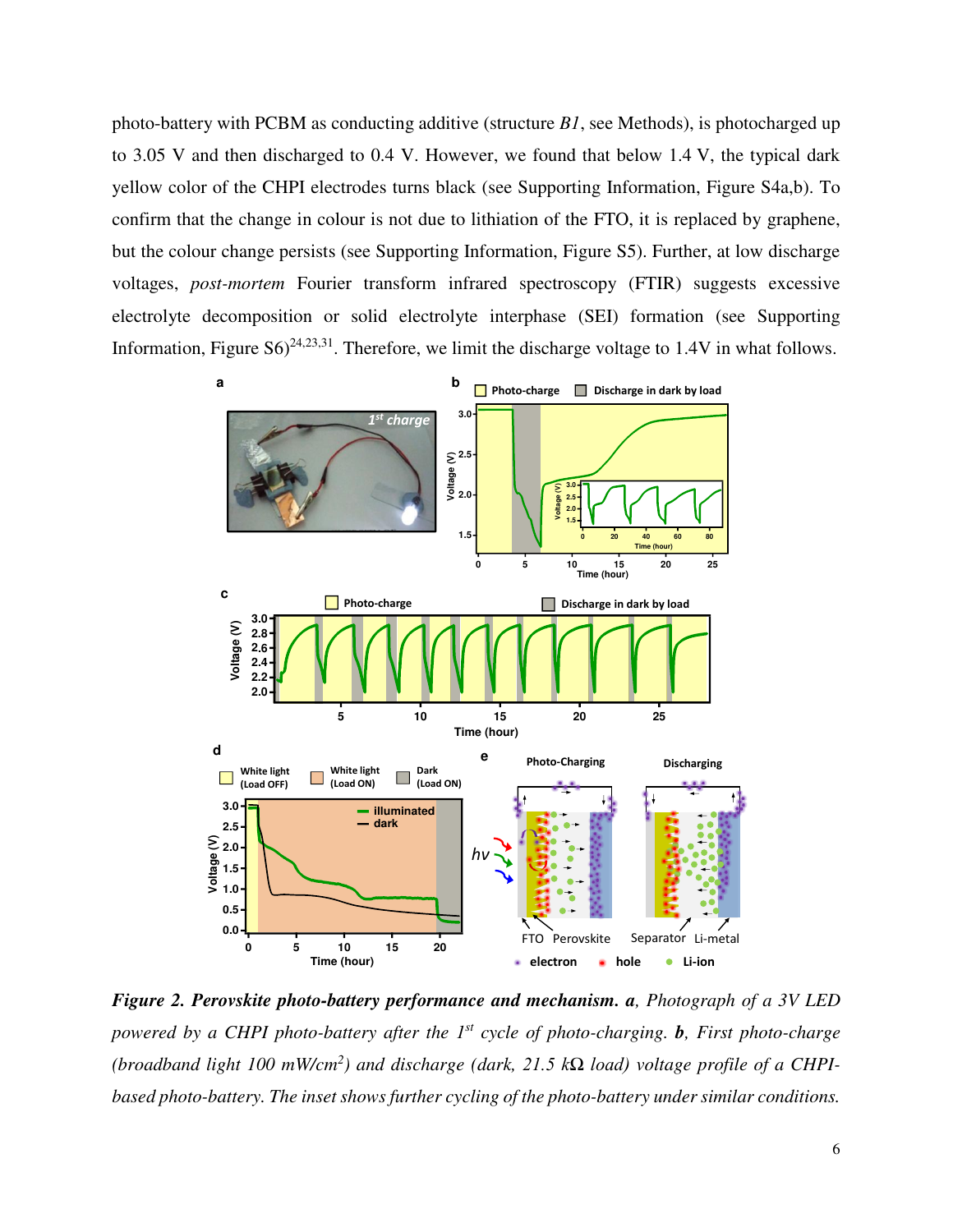photo-battery with PCBM as conducting additive (structure *B1*, see Methods), is photocharged up to 3.05 V and then discharged to 0.4 V. However, we found that below 1.4 V, the typical dark yellow color of the CHPI electrodes turns black (see Supporting Information, Figure S4a,b). To confirm that the change in colour is not due to lithiation of the FTO, it is replaced by graphene, but the colour change persists (see Supporting Information, Figure S5). Further, at low discharge voltages, *post-mortem* Fourier transform infrared spectroscopy (FTIR) suggests excessive electrolyte decomposition or solid electrolyte interphase (SEI) formation (see Supporting Information, Figure  $\text{SO}^{24,23,31}$ . Therefore, we limit the discharge voltage to 1.4V in what follows.



*Figure 2. Perovskite photo-battery performance and mechanism. a, Photograph of a 3V LED powered by a CHPI photo-battery after the 1st cycle of photo-charging. b, First photo-charge (broadband light 100 mW/cm<sup>2</sup> ) and discharge (dark, 21.5 kΩ load) voltage profile of a CHPIbased photo-battery. The inset shows further cycling of the photo-battery under similar conditions.*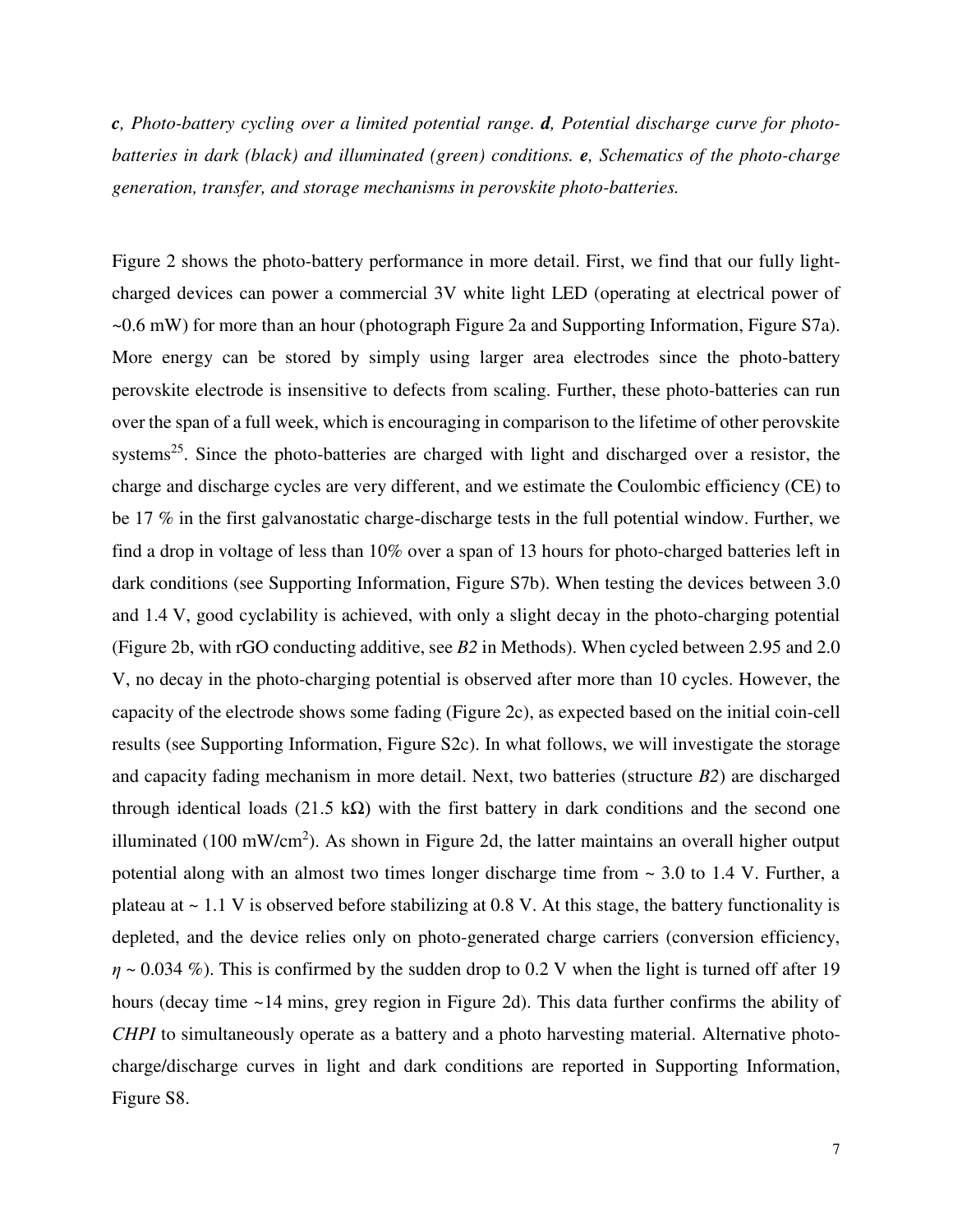*c, Photo-battery cycling over a limited potential range. d, Potential discharge curve for photobatteries in dark (black) and illuminated (green) conditions. e, Schematics of the photo-charge generation, transfer, and storage mechanisms in perovskite photo-batteries.* 

Figure 2 shows the photo-battery performance in more detail. First, we find that our fully lightcharged devices can power a commercial 3V white light LED (operating at electrical power of ~0.6 mW) for more than an hour (photograph Figure 2a and Supporting Information, Figure S7a). More energy can be stored by simply using larger area electrodes since the photo-battery perovskite electrode is insensitive to defects from scaling. Further, these photo-batteries can run over the span of a full week, which is encouraging in comparison to the lifetime of other perovskite systems<sup>25</sup>. Since the photo-batteries are charged with light and discharged over a resistor, the charge and discharge cycles are very different, and we estimate the Coulombic efficiency (CE) to be 17 % in the first galvanostatic charge-discharge tests in the full potential window. Further, we find a drop in voltage of less than 10% over a span of 13 hours for photo-charged batteries left in dark conditions (see Supporting Information, Figure S7b). When testing the devices between 3.0 and 1.4 V, good cyclability is achieved, with only a slight decay in the photo-charging potential (Figure 2b, with rGO conducting additive, see *B2* in Methods). When cycled between 2.95 and 2.0 V, no decay in the photo-charging potential is observed after more than 10 cycles. However, the capacity of the electrode shows some fading (Figure 2c), as expected based on the initial coin-cell results (see Supporting Information, Figure S2c). In what follows, we will investigate the storage and capacity fading mechanism in more detail. Next, two batteries (structure *B2*) are discharged through identical loads (21.5 kΩ) with the first battery in dark conditions and the second one illuminated (100 mW/cm<sup>2</sup>). As shown in Figure 2d, the latter maintains an overall higher output potential along with an almost two times longer discharge time from  $\sim$  3.0 to 1.4 V. Further, a plateau at  $\sim 1.1$  V is observed before stabilizing at 0.8 V. At this stage, the battery functionality is depleted, and the device relies only on photo-generated charge carriers (conversion efficiency,  $\eta \sim 0.034$  %). This is confirmed by the sudden drop to 0.2 V when the light is turned off after 19 hours (decay time ~14 mins, grey region in Figure 2d). This data further confirms the ability of *CHPI* to simultaneously operate as a battery and a photo harvesting material. Alternative photocharge/discharge curves in light and dark conditions are reported in Supporting Information, Figure S8.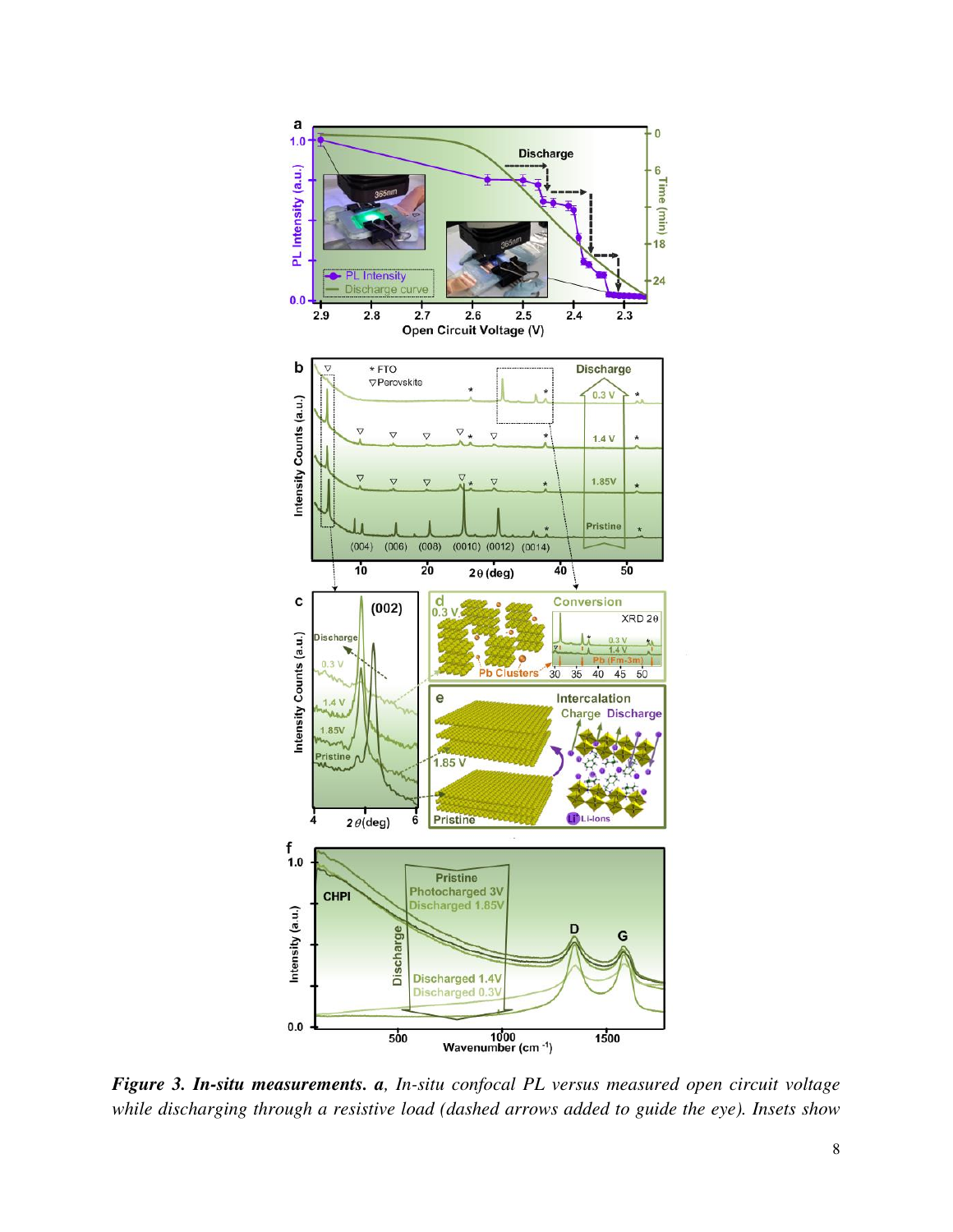

*Figure 3. In-situ measurements. a, In-situ confocal PL versus measured open circuit voltage while discharging through a resistive load (dashed arrows added to guide the eye). Insets show*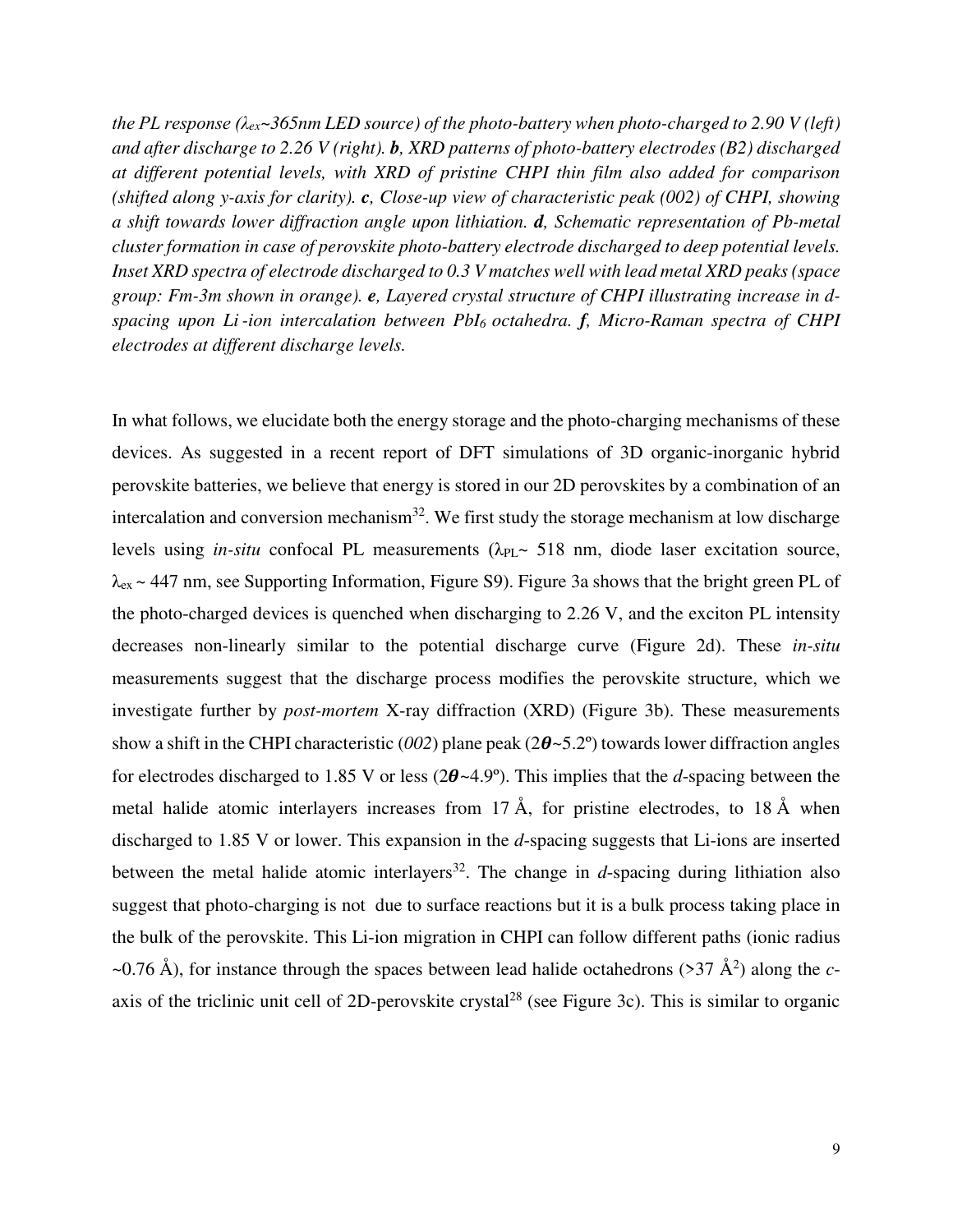*the PL response (λex~365nm LED source) of the photo-battery when photo-charged to 2.90 V (left) and after discharge to 2.26 V (right). b, XRD patterns of photo-battery electrodes (B2) discharged at different potential levels, with XRD of pristine CHPI thin film also added for comparison (shifted along y-axis for clarity). c, Close-up view of characteristic peak (002) of CHPI, showing a shift towards lower diffraction angle upon lithiation. d, Schematic representation of Pb-metal cluster formation in case of perovskite photo-battery electrode discharged to deep potential levels. Inset XRD spectra of electrode discharged to 0.3 V matches well with lead metal XRD peaks (space group: Fm-3m shown in orange). e, Layered crystal structure of CHPI illustrating increase in dspacing upon Li -ion intercalation between PbI6 octahedra. f, Micro-Raman spectra of CHPI electrodes at different discharge levels.* 

In what follows, we elucidate both the energy storage and the photo-charging mechanisms of these devices. As suggested in a recent report of DFT simulations of 3D organic-inorganic hybrid perovskite batteries, we believe that energy is stored in our 2D perovskites by a combination of an intercalation and conversion mechanism $32$ . We first study the storage mechanism at low discharge levels using *in-situ* confocal PL measurements  $(\lambda_{PL}$  518 nm, diode laser excitation source, λex ~ 447 nm, see Supporting Information, Figure S9). Figure 3a shows that the bright green PL of the photo-charged devices is quenched when discharging to 2.26 V, and the exciton PL intensity decreases non-linearly similar to the potential discharge curve (Figure 2d). These *in-situ* measurements suggest that the discharge process modifies the perovskite structure, which we investigate further by *post-mortem* X-ray diffraction (XRD) (Figure 3b). These measurements show a shift in the CHPI characteristic ( $002$ ) plane peak ( $2\theta$ ~5.2°) towards lower diffraction angles for electrodes discharged to 1.85 V or less  $(2\theta \sim 4.9^{\circ})$ . This implies that the *d*-spacing between the metal halide atomic interlayers increases from 17  $\AA$ , for pristine electrodes, to 18  $\AA$  when discharged to 1.85 V or lower. This expansion in the *d*-spacing suggests that Li-ions are inserted between the metal halide atomic interlayers<sup>32</sup>. The change in *d*-spacing during lithiation also suggest that photo-charging is not due to surface reactions but it is a bulk process taking place in the bulk of the perovskite. This Li-ion migration in CHPI can follow different paths (ionic radius  $\sim$ 0.76 Å), for instance through the spaces between lead halide octahedrons (>37 Å<sup>2</sup>) along the *c*axis of the triclinic unit cell of 2D-perovskite crystal<sup>28</sup> (see Figure 3c). This is similar to organic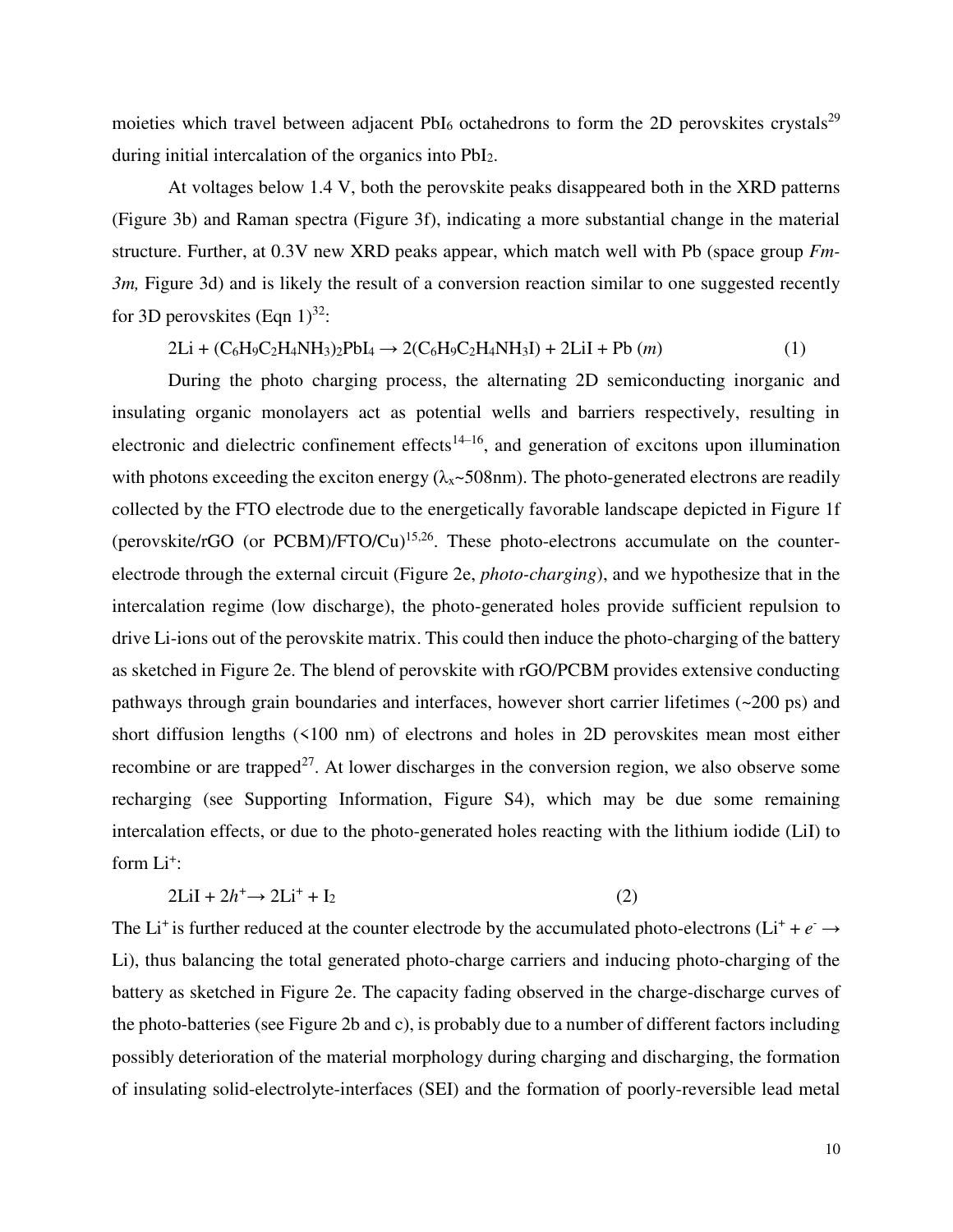moieties which travel between adjacent  $PbI_6$  octahedrons to form the 2D perovskites crystals<sup>29</sup> during initial intercalation of the organics into PbI2.

At voltages below 1.4 V, both the perovskite peaks disappeared both in the XRD patterns (Figure 3b) and Raman spectra (Figure 3f), indicating a more substantial change in the material structure. Further, at 0.3V new XRD peaks appear, which match well with Pb (space group *Fm-3m*, Figure 3d) and is likely the result of a conversion reaction similar to one suggested recently for 3D perovskites (Eqn  $1)^{32}$ :

$$
2Li + (C_6H_9C_2H_4NH_3)_2PbI_4 \to 2(C_6H_9C_2H_4NH_3I) + 2LiI + Pb (m)
$$
 (1)

During the photo charging process, the alternating 2D semiconducting inorganic and insulating organic monolayers act as potential wells and barriers respectively, resulting in electronic and dielectric confinement effects<sup>14–16</sup>, and generation of excitons upon illumination with photons exceeding the exciton energy  $(\lambda_x \sim 508$ nm). The photo-generated electrons are readily collected by the FTO electrode due to the energetically favorable landscape depicted in Figure 1f (perovskite/rGO (or  $PCBM$ )/FTO/Cu)<sup>15,26</sup>. These photo-electrons accumulate on the counterelectrode through the external circuit (Figure 2e, *photo-charging*), and we hypothesize that in the intercalation regime (low discharge), the photo-generated holes provide sufficient repulsion to drive Li-ions out of the perovskite matrix. This could then induce the photo-charging of the battery as sketched in Figure 2e. The blend of perovskite with rGO/PCBM provides extensive conducting pathways through grain boundaries and interfaces, however short carrier lifetimes (~200 ps) and short diffusion lengths (<100 nm) of electrons and holes in 2D perovskites mean most either recombine or are trapped<sup>27</sup>. At lower discharges in the conversion region, we also observe some recharging (see Supporting Information, Figure S4), which may be due some remaining intercalation effects, or due to the photo-generated holes reacting with the lithium iodide (LiI) to form  $Li^{\dagger}$ :

$$
2\text{Li} + 2h^+ \rightarrow 2\text{Li}^+ + \text{I}_2 \tag{2}
$$

The Li<sup>+</sup> is further reduced at the counter electrode by the accumulated photo-electrons (Li<sup>+</sup> +  $e^- \rightarrow$ Li), thus balancing the total generated photo-charge carriers and inducing photo-charging of the battery as sketched in Figure 2e. The capacity fading observed in the charge-discharge curves of the photo-batteries (see Figure 2b and c), is probably due to a number of different factors including possibly deterioration of the material morphology during charging and discharging, the formation of insulating solid-electrolyte-interfaces (SEI) and the formation of poorly-reversible lead metal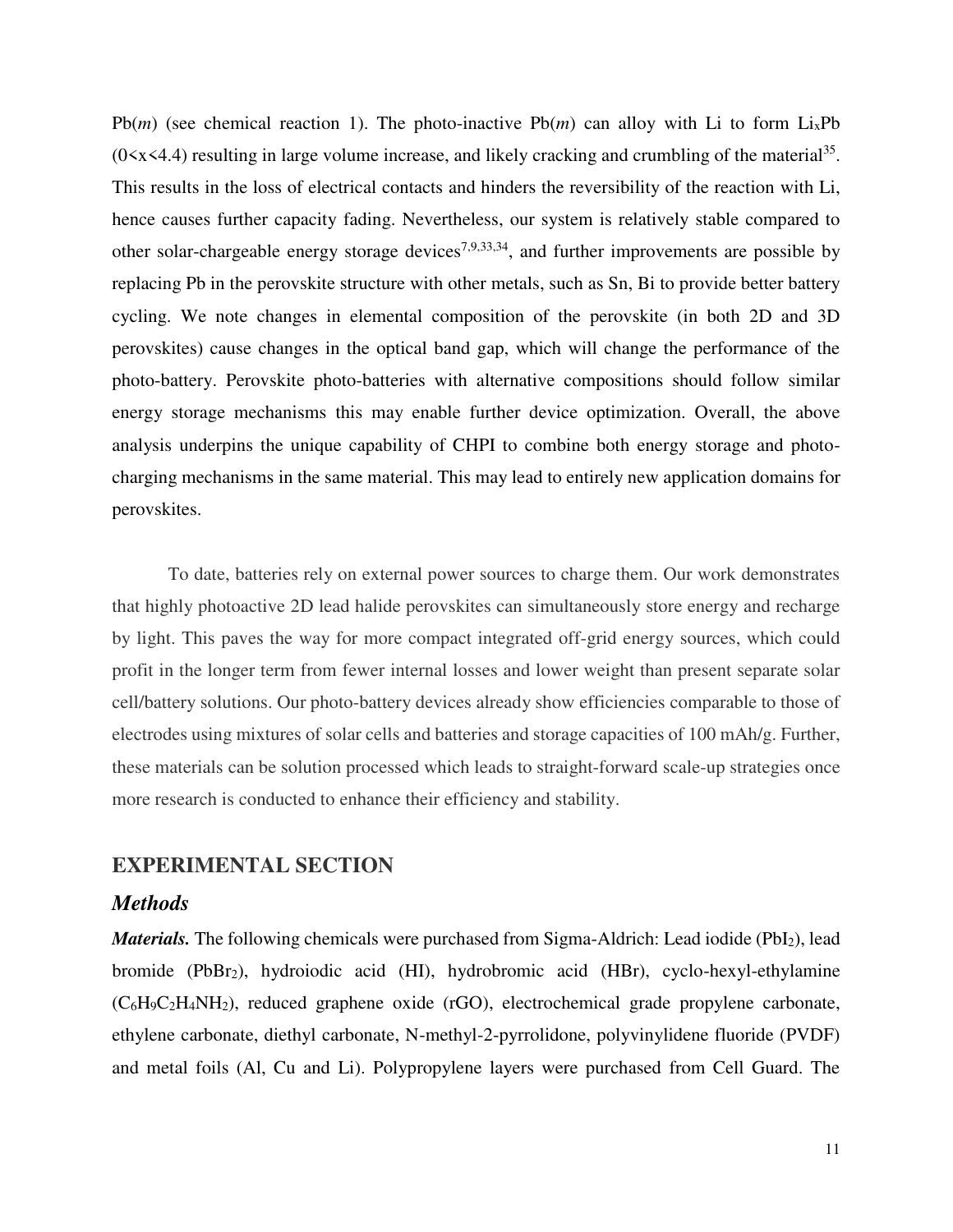$Pb(m)$  (see chemical reaction 1). The photo-inactive  $Pb(m)$  can alloy with Li to form Li<sub>x</sub>Pb  $(0 \le x \le 4.4)$  resulting in large volume increase, and likely cracking and crumbling of the material<sup>35</sup>. This results in the loss of electrical contacts and hinders the reversibility of the reaction with Li, hence causes further capacity fading. Nevertheless, our system is relatively stable compared to other solar-chargeable energy storage devices<sup>7,9,33,34</sup>, and further improvements are possible by replacing Pb in the perovskite structure with other metals, such as Sn, Bi to provide better battery cycling. We note changes in elemental composition of the perovskite (in both 2D and 3D perovskites) cause changes in the optical band gap, which will change the performance of the photo-battery. Perovskite photo-batteries with alternative compositions should follow similar energy storage mechanisms this may enable further device optimization. Overall, the above analysis underpins the unique capability of CHPI to combine both energy storage and photocharging mechanisms in the same material. This may lead to entirely new application domains for perovskites.

To date, batteries rely on external power sources to charge them. Our work demonstrates that highly photoactive 2D lead halide perovskites can simultaneously store energy and recharge by light. This paves the way for more compact integrated off-grid energy sources, which could profit in the longer term from fewer internal losses and lower weight than present separate solar cell/battery solutions. Our photo-battery devices already show efficiencies comparable to those of electrodes using mixtures of solar cells and batteries and storage capacities of 100 mAh/g. Further, these materials can be solution processed which leads to straight-forward scale-up strategies once more research is conducted to enhance their efficiency and stability.

## **EXPERIMENTAL SECTION**

#### *Methods*

*Materials*. The following chemicals were purchased from Sigma-Aldrich: Lead iodide (PbI<sub>2</sub>), lead bromide (PbBr2), hydroiodic acid (HI), hydrobromic acid (HBr), cyclo-hexyl-ethylamine (C6H9C2H4NH2), reduced graphene oxide (rGO), electrochemical grade propylene carbonate, ethylene carbonate, diethyl carbonate, N-methyl-2-pyrrolidone, polyvinylidene fluoride (PVDF) and metal foils (Al, Cu and Li). Polypropylene layers were purchased from Cell Guard. The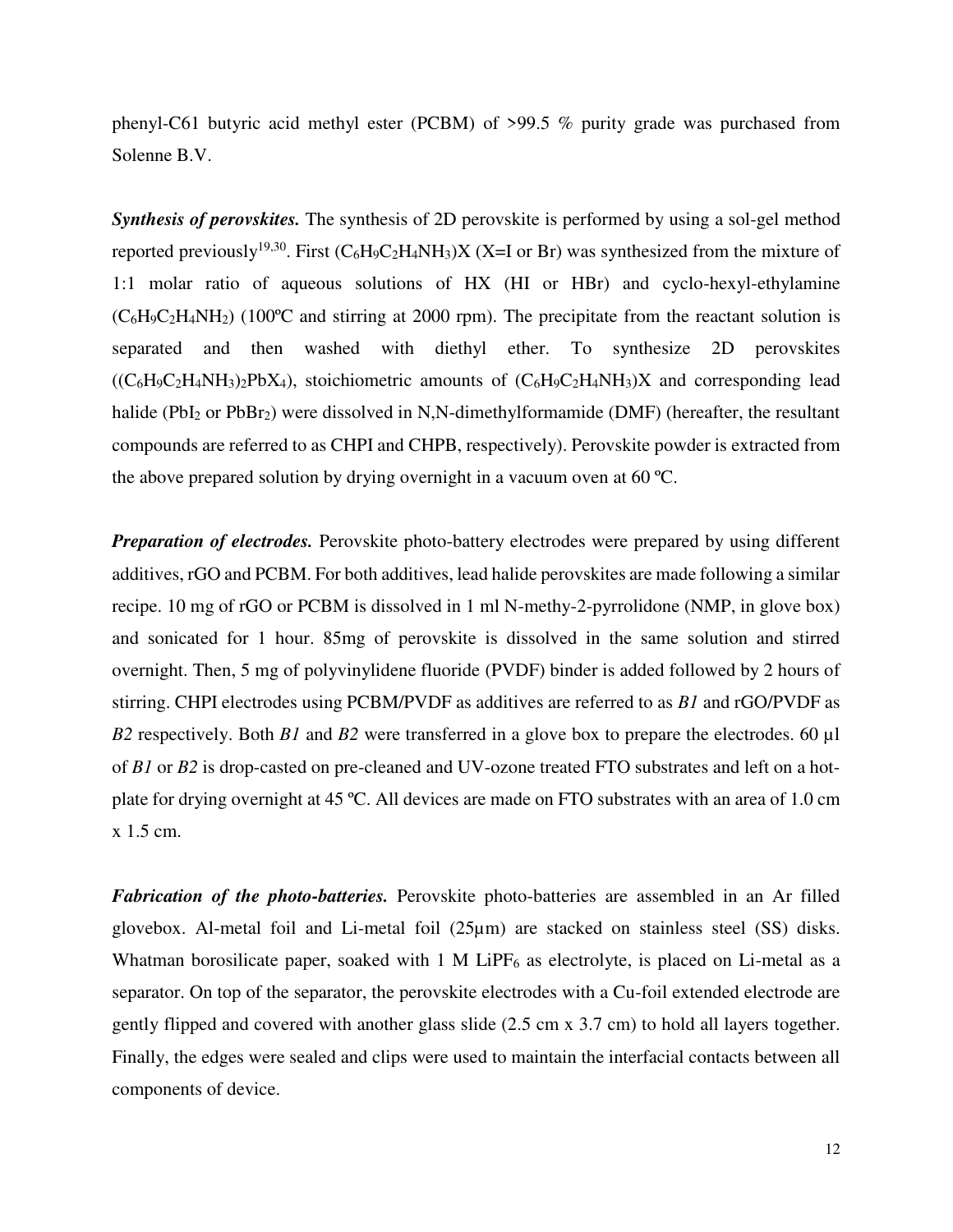phenyl-C61 butyric acid methyl ester (PCBM) of >99.5 % purity grade was purchased from Solenne B.V.

*Synthesis of perovskites.* The synthesis of 2D perovskite is performed by using a sol-gel method reported previously<sup>19,30</sup>. First  $(C_6H_9C_2H_4NH_3)X$  (X=I or Br) was synthesized from the mixture of 1:1 molar ratio of aqueous solutions of HX (HI or HBr) and cyclo-hexyl-ethylamine  $(C_6H_9C_2H_4NH_2)$  (100°C and stirring at 2000 rpm). The precipitate from the reactant solution is separated and then washed with diethyl ether. To synthesize 2D perovskites  $((C_6H_9C_2H_4NH_3)_2PbX_4)$ , stoichiometric amounts of  $(C_6H_9C_2H_4NH_3)X$  and corresponding lead halide (PbI<sub>2</sub> or PbBr<sub>2</sub>) were dissolved in N,N-dimethylformamide (DMF) (hereafter, the resultant compounds are referred to as CHPI and CHPB, respectively). Perovskite powder is extracted from the above prepared solution by drying overnight in a vacuum oven at 60 ºC.

**Preparation of electrodes.** Perovskite photo-battery electrodes were prepared by using different additives, rGO and PCBM. For both additives, lead halide perovskites are made following a similar recipe. 10 mg of rGO or PCBM is dissolved in 1 ml N-methy-2-pyrrolidone (NMP, in glove box) and sonicated for 1 hour. 85mg of perovskite is dissolved in the same solution and stirred overnight. Then, 5 mg of polyvinylidene fluoride (PVDF) binder is added followed by 2 hours of stirring. CHPI electrodes using PCBM/PVDF as additives are referred to as *B1* and rGO/PVDF as *B2* respectively. Both *B1* and *B2* were transferred in a glove box to prepare the electrodes. 60 µl of *B1* or *B2* is drop-casted on pre-cleaned and UV-ozone treated FTO substrates and left on a hotplate for drying overnight at 45 ºC. All devices are made on FTO substrates with an area of 1.0 cm x 1.5 cm.

*Fabrication of the photo-batteries.* Perovskite photo-batteries are assembled in an Ar filled glovebox. Al-metal foil and Li-metal foil (25µm) are stacked on stainless steel (SS) disks. Whatman borosilicate paper, soaked with  $1 \text{ M}$  LiPF<sub>6</sub> as electrolyte, is placed on Li-metal as a separator. On top of the separator, the perovskite electrodes with a Cu-foil extended electrode are gently flipped and covered with another glass slide (2.5 cm x 3.7 cm) to hold all layers together. Finally, the edges were sealed and clips were used to maintain the interfacial contacts between all components of device.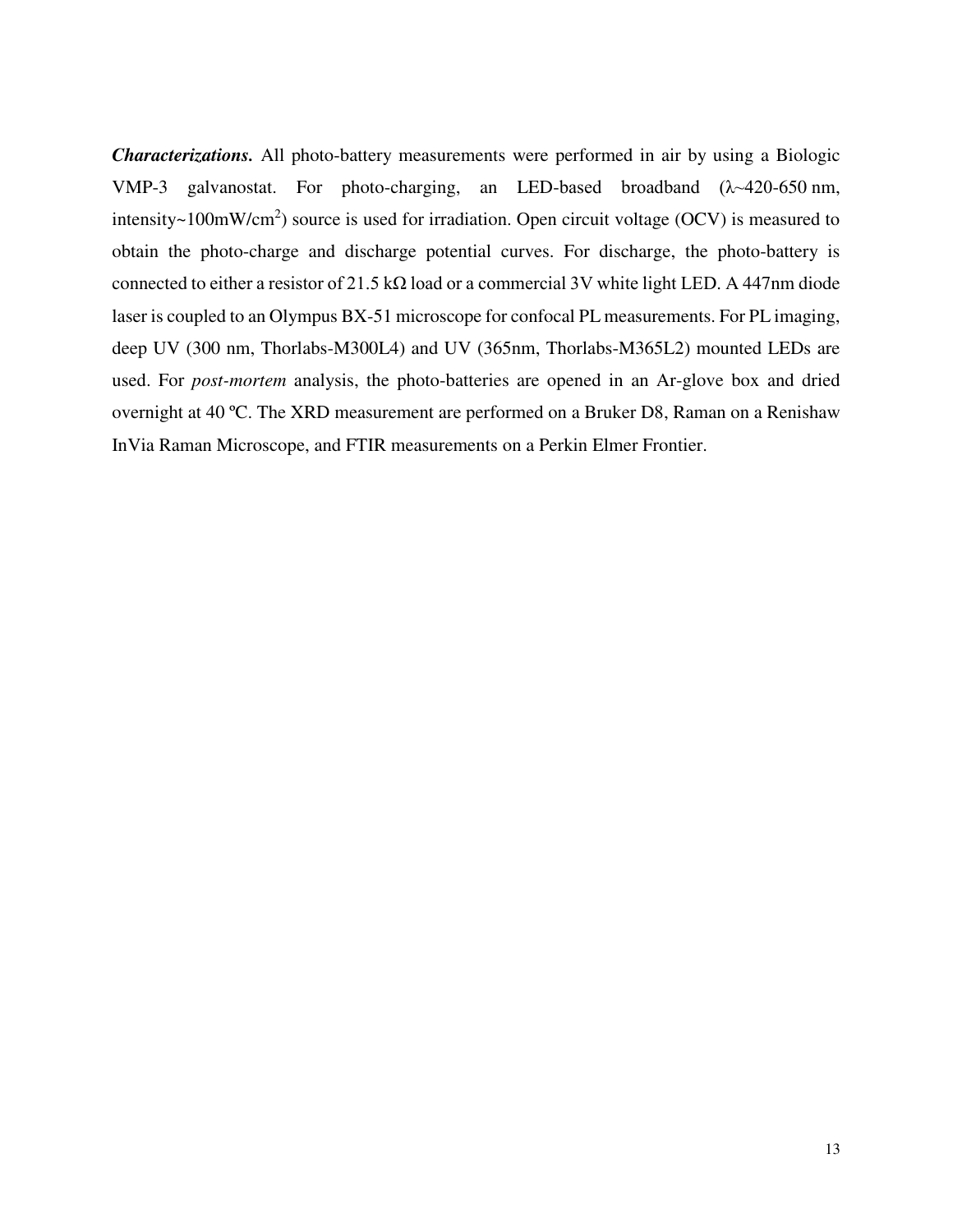*Characterizations.* All photo-battery measurements were performed in air by using a Biologic VMP-3 galvanostat. For photo-charging, an LED-based broadband (λ~420-650 nm, intensity~100mW/cm<sup>2</sup>) source is used for irradiation. Open circuit voltage (OCV) is measured to obtain the photo-charge and discharge potential curves. For discharge, the photo-battery is connected to either a resistor of 21.5 kΩ load or a commercial 3V white light LED. A 447nm diode laser is coupled to an Olympus BX-51 microscope for confocal PL measurements. For PL imaging, deep UV (300 nm, Thorlabs-M300L4) and UV (365nm, Thorlabs-M365L2) mounted LEDs are used. For *post-mortem* analysis, the photo-batteries are opened in an Ar-glove box and dried overnight at 40 ºC. The XRD measurement are performed on a Bruker D8, Raman on a Renishaw InVia Raman Microscope, and FTIR measurements on a Perkin Elmer Frontier.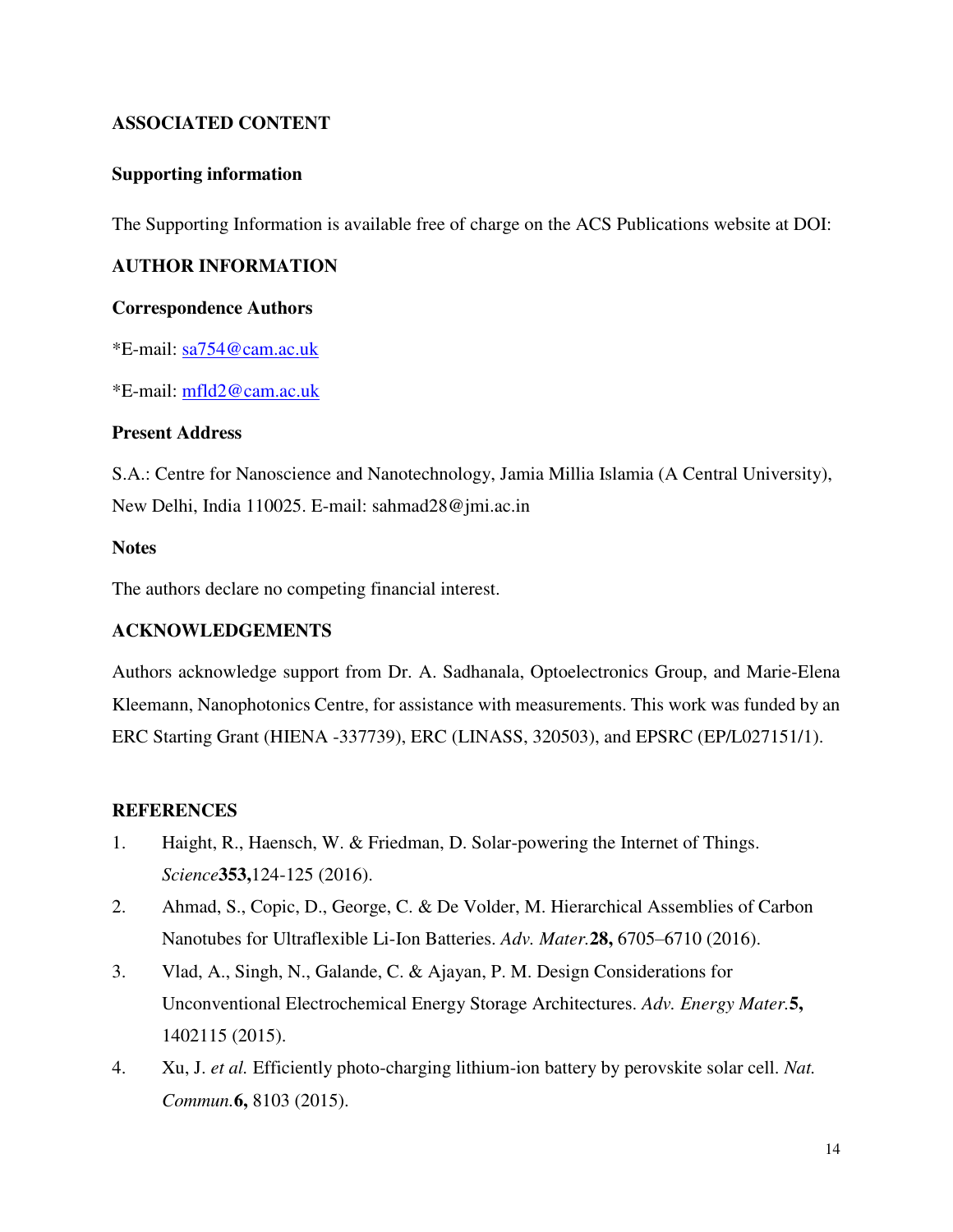## **ASSOCIATED CONTENT**

## **Supporting information**

The Supporting Information is available free of charge on the ACS Publications website at DOI:

## **AUTHOR INFORMATION**

#### **Correspondence Authors**

\*E-mail: [sa754@cam.ac.uk](mailto:sa754@cam.ac.uk)

\*E-mail: [mfld2@cam.ac.uk](mailto:mfld2@cam.ac.uk) 

## **Present Address**

S.A.: Centre for Nanoscience and Nanotechnology, Jamia Millia Islamia (A Central University), New Delhi, India 110025. E-mail: sahmad28@jmi.ac.in

## **Notes**

The authors declare no competing financial interest.

## **ACKNOWLEDGEMENTS**

Authors acknowledge support from Dr. A. Sadhanala, Optoelectronics Group, and Marie-Elena Kleemann, Nanophotonics Centre, for assistance with measurements. This work was funded by an ERC Starting Grant (HIENA -337739), ERC (LINASS, 320503), and EPSRC (EP/L027151/1).

## **REFERENCES**

- 1. Haight, R., Haensch, W. & Friedman, D. Solar-powering the Internet of Things. *Science***353,**124-125 (2016).
- 2. Ahmad, S., Copic, D., George, C. & De Volder, M. Hierarchical Assemblies of Carbon Nanotubes for Ultraflexible Li-Ion Batteries. *Adv. Mater.***28,** 6705–6710 (2016).
- 3. Vlad, A., Singh, N., Galande, C. & Ajayan, P. M. Design Considerations for Unconventional Electrochemical Energy Storage Architectures. *Adv. Energy Mater.***5,** 1402115 (2015).
- 4. Xu, J. *et al.* Efficiently photo-charging lithium-ion battery by perovskite solar cell. *Nat. Commun.***6,** 8103 (2015).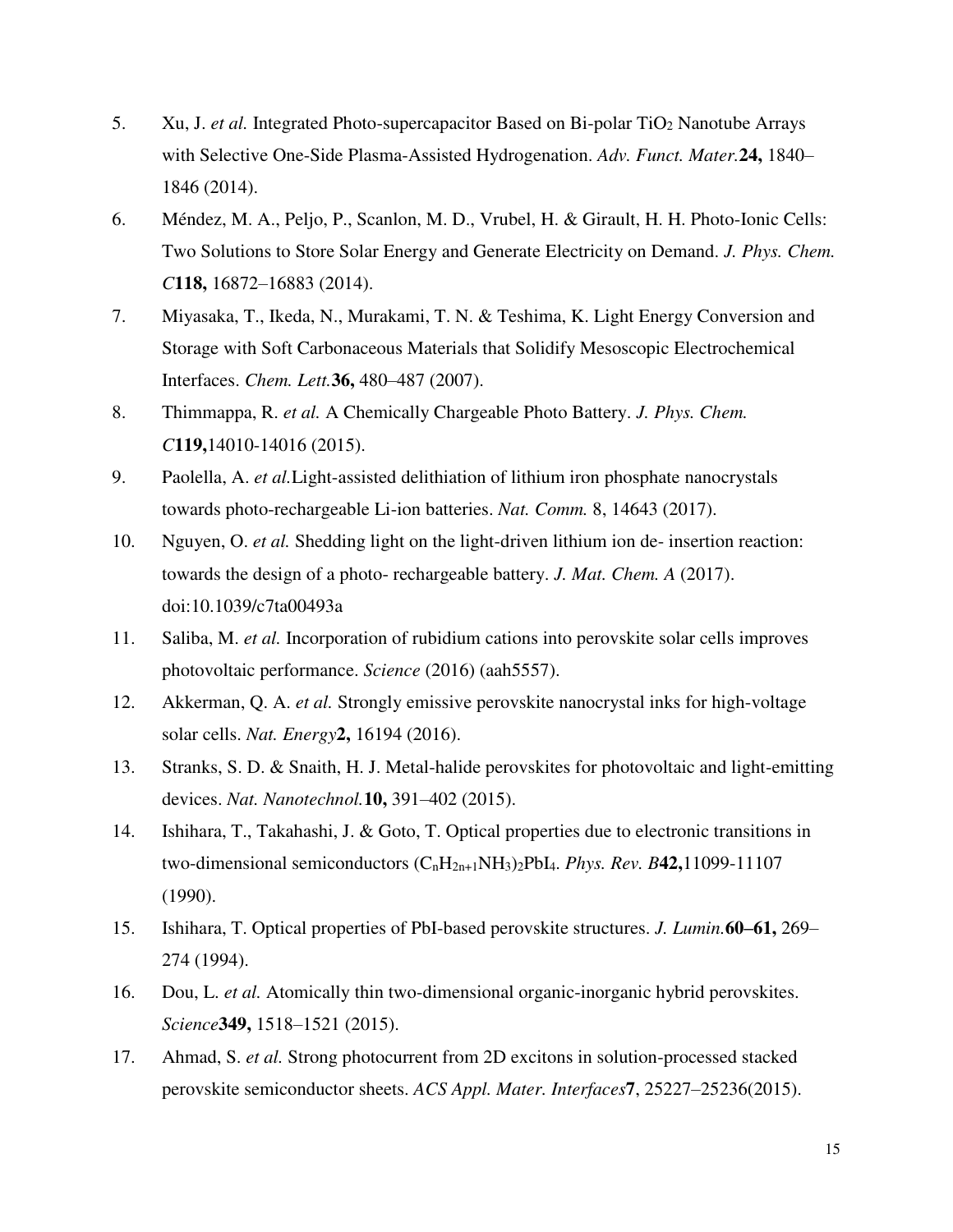- 5. Xu, J. *et al.* Integrated Photo-supercapacitor Based on Bi-polar TiO<sub>2</sub> Nanotube Arrays with Selective One-Side Plasma-Assisted Hydrogenation. *Adv. Funct. Mater.***24,** 1840– 1846 (2014).
- 6. Méndez, M. A., Peljo, P., Scanlon, M. D., Vrubel, H. & Girault, H. H. Photo-Ionic Cells: Two Solutions to Store Solar Energy and Generate Electricity on Demand. *J. Phys. Chem. C***118,** 16872–16883 (2014).
- 7. Miyasaka, T., Ikeda, N., Murakami, T. N. & Teshima, K. Light Energy Conversion and Storage with Soft Carbonaceous Materials that Solidify Mesoscopic Electrochemical Interfaces. *Chem. Lett.***36,** 480–487 (2007).
- 8. Thimmappa, R. *et al.* A Chemically Chargeable Photo Battery. *J. Phys. Chem. C***119,**14010-14016 (2015).
- 9. Paolella, A. *et al.*Light-assisted delithiation of lithium iron phosphate nanocrystals towards photo-rechargeable Li-ion batteries. *Nat. Comm.* 8, 14643 (2017).
- 10. Nguyen, O. *et al.* Shedding light on the light-driven lithium ion de- insertion reaction: towards the design of a photo- rechargeable battery. *J. Mat. Chem. A* (2017). doi:10.1039/c7ta00493a
- 11. Saliba, M. *et al.* Incorporation of rubidium cations into perovskite solar cells improves photovoltaic performance. *Science* (2016) (aah5557).
- 12. Akkerman, Q. A. *et al.* Strongly emissive perovskite nanocrystal inks for high-voltage solar cells. *Nat. Energy***2,** 16194 (2016).
- 13. Stranks, S. D. & Snaith, H. J. Metal-halide perovskites for photovoltaic and light-emitting devices. *Nat. Nanotechnol.***10,** 391–402 (2015).
- 14. Ishihara, T., Takahashi, J. & Goto, T. Optical properties due to electronic transitions in two-dimensional semiconductors (CnH2n+1NH3)2PbI4. *Phys. Rev. B***42,**11099-11107 (1990).
- 15. Ishihara, T. Optical properties of PbI-based perovskite structures. *J. Lumin.***60–61,** 269– 274 (1994).
- 16. Dou, L. *et al.* Atomically thin two-dimensional organic-inorganic hybrid perovskites. *Science***349,** 1518–1521 (2015).
- 17. Ahmad, S. *et al.* Strong photocurrent from 2D excitons in solution-processed stacked perovskite semiconductor sheets. *ACS Appl. Mater. Interfaces***7**, 25227–25236(2015).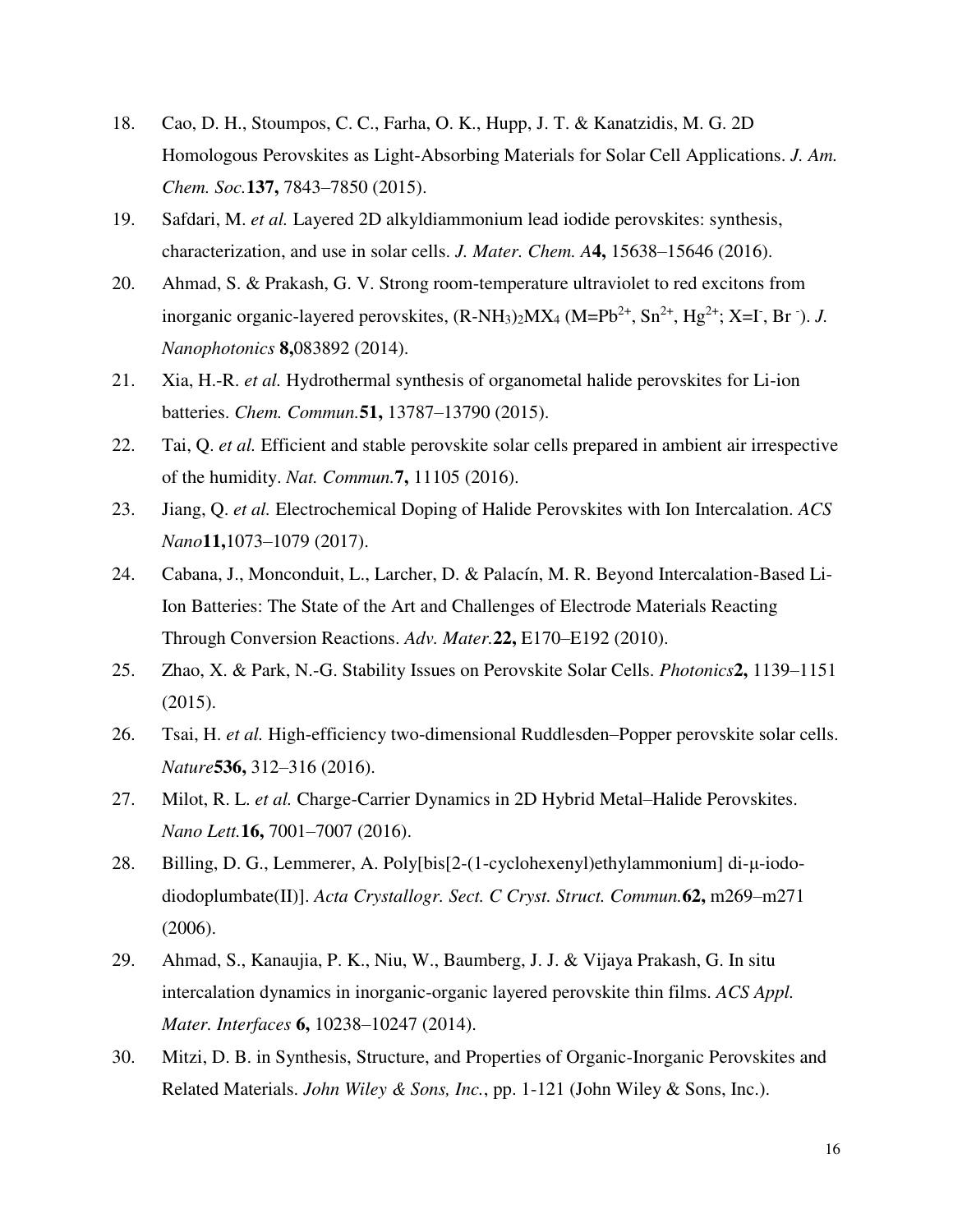- 18. Cao, D. H., Stoumpos, C. C., Farha, O. K., Hupp, J. T. & Kanatzidis, M. G. 2D Homologous Perovskites as Light-Absorbing Materials for Solar Cell Applications. *J. Am. Chem. Soc.***137,** 7843–7850 (2015).
- 19. Safdari, M. *et al.* Layered 2D alkyldiammonium lead iodide perovskites: synthesis, characterization, and use in solar cells. *J. Mater. Chem. A***4,** 15638–15646 (2016).
- 20. Ahmad, S. & Prakash, G. V. Strong room-temperature ultraviolet to red excitons from inorganic organic-layered perovskites,  $(R-NH_3)_2MX_4 (M=Pb^{2+}, Sn^{2+}, Hg^{2+}; X=I^-, Br^-)$ . *J. Nanophotonics* **8,**083892 (2014).
- 21. Xia, H.-R. *et al.* Hydrothermal synthesis of organometal halide perovskites for Li-ion batteries. *Chem. Commun.***51,** 13787–13790 (2015).
- 22. Tai, Q. *et al.* Efficient and stable perovskite solar cells prepared in ambient air irrespective of the humidity. *Nat. Commun.***7,** 11105 (2016).
- 23. Jiang, Q. *et al.* Electrochemical Doping of Halide Perovskites with Ion Intercalation. *ACS Nano***11,**1073–1079 (2017).
- 24. Cabana, J., Monconduit, L., Larcher, D. & Palacín, M. R. Beyond Intercalation-Based Li-Ion Batteries: The State of the Art and Challenges of Electrode Materials Reacting Through Conversion Reactions. *Adv. Mater.***22,** E170–E192 (2010).
- 25. Zhao, X. & Park, N.-G. Stability Issues on Perovskite Solar Cells. *Photonics***2,** 1139–1151  $(2015).$
- 26. Tsai, H. *et al.* High-efficiency two-dimensional Ruddlesden–Popper perovskite solar cells. *Nature***536,** 312–316 (2016).
- 27. Milot, R. L. *et al.* Charge-Carrier Dynamics in 2D Hybrid Metal–Halide Perovskites. *Nano Lett.***16,** 7001–7007 (2016).
- 28. Billing, D. G., Lemmerer, A. Poly[bis[2-(1-cyclohexenyl)ethylammonium] di-μ-iododiodoplumbate(II)]. *Acta Crystallogr. Sect. C Cryst. Struct. Commun.***62,** m269–m271 (2006).
- 29. Ahmad, S., Kanaujia, P. K., Niu, W., Baumberg, J. J. & Vijaya Prakash, G. In situ intercalation dynamics in inorganic-organic layered perovskite thin films. *ACS Appl. Mater. Interfaces* **6,** 10238–10247 (2014).
- 30. Mitzi, D. B. in Synthesis, Structure, and Properties of Organic-Inorganic Perovskites and Related Materials. *John Wiley & Sons, Inc.*, pp. 1-121 (John Wiley & Sons, Inc.).